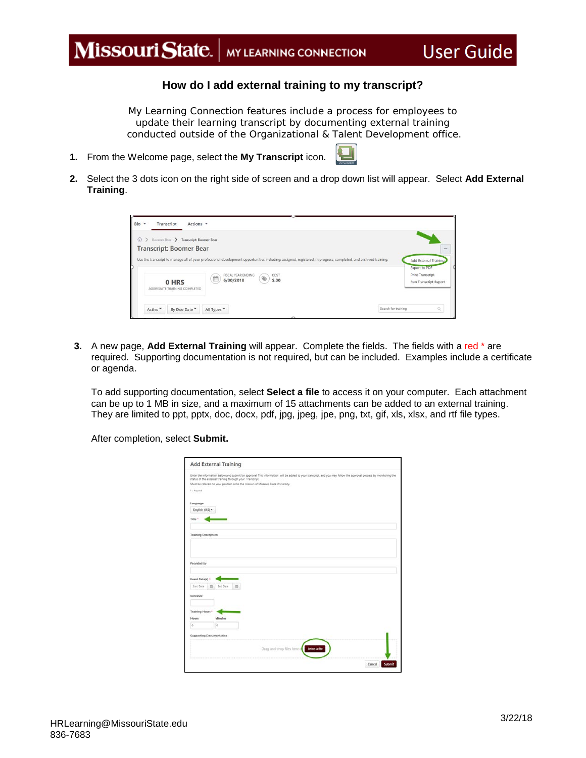## Missouri State. | MY LEARNING CONNECTION

## **How do I add external training to my transcript?**

**User Guide** 

*My Learning Connection features include a process for employees to update their learning transcript by documenting external training conducted outside of the Organizational & Talent Development office.*

- **1.** From the Welcome page, select the **My Transcript** icon.
- **2.** Select the 3 dots icon on the right side of screen and a drop down list will appear. Select **Add External Training**.

| > Boomer Bear > Transcript: Boomer Bear<br>$\omega$ |                                                                                                                                                                                               |                                                                          |
|-----------------------------------------------------|-----------------------------------------------------------------------------------------------------------------------------------------------------------------------------------------------|--------------------------------------------------------------------------|
| <b>Transcript: Boomer Bear</b>                      | Use the transcript to manage all of your professional development opportunities including: assigned, registered, in progress, completed, and archived training.<br>FISCAL YEAR ENDING<br>COST | ***<br>Add External Training<br><b>Export to PDF</b><br>Print Transcript |
| 0 HRS<br>AGGREGATE TRAINING COMPLETED               | 飴<br>6/30/2018<br>\$.00                                                                                                                                                                       | Run Transcript Report                                                    |

**3.** A new page, **Add External Training** will appear. Complete the fields. The fields with a red \* are required. Supporting documentation is not required, but can be included. Examples include a certificate or agenda.

To add supporting documentation, select **Select a file** to access it on your computer. Each attachment can be up to 1 MB in size, and a maximum of 15 attachments can be added to an external training. They are limited to ppt, pptx, doc, docx, pdf, jpg, jpeg, jpe, png, txt, gif, xls, xlsx, and rtf file types.

After completion, select **Submit.**

|                             | <b>Add External Training</b>                             |                                                                                   |                                                                                                                                                                   |  |
|-----------------------------|----------------------------------------------------------|-----------------------------------------------------------------------------------|-------------------------------------------------------------------------------------------------------------------------------------------------------------------|--|
|                             | status of the external training through your Transcript. | Must be relevant to your position or to the mission of Missouri State University. | Enter the information below and submit for approval. This information will be added to your transcript, and you may follow the approval process by monitoring the |  |
| $^{1}$ + Registed           |                                                          |                                                                                   |                                                                                                                                                                   |  |
| Language                    |                                                          |                                                                                   |                                                                                                                                                                   |  |
| English (US) =              |                                                          |                                                                                   |                                                                                                                                                                   |  |
| Title <sup>+</sup>          |                                                          |                                                                                   |                                                                                                                                                                   |  |
| <b>Training Description</b> |                                                          |                                                                                   |                                                                                                                                                                   |  |
| Provided by                 |                                                          |                                                                                   |                                                                                                                                                                   |  |
| Event Date(s) *             |                                                          |                                                                                   |                                                                                                                                                                   |  |
| Start Date                  | <b>End Oans</b>                                          |                                                                                   |                                                                                                                                                                   |  |
| Schedule                    |                                                          |                                                                                   |                                                                                                                                                                   |  |
| Training Hours *            |                                                          |                                                                                   |                                                                                                                                                                   |  |
| Hows                        | <b>Minutes</b>                                           |                                                                                   |                                                                                                                                                                   |  |
| ö                           | ö                                                        |                                                                                   |                                                                                                                                                                   |  |
| Supporting Documentation    |                                                          |                                                                                   |                                                                                                                                                                   |  |
|                             |                                                          | Drag and drop files here of                                                       | Selecta file                                                                                                                                                      |  |
|                             |                                                          |                                                                                   |                                                                                                                                                                   |  |